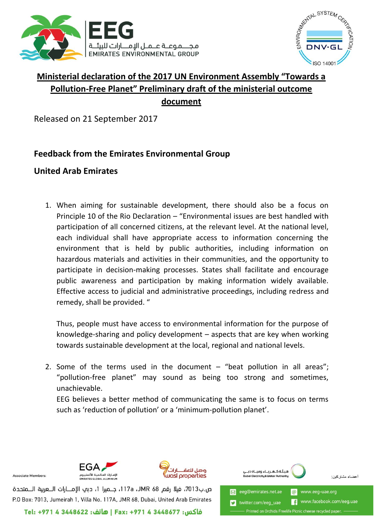



## **Ministerial declaration of the 2017 UN Environment Assembly "Towards a Pollution-Free Planet" Preliminary draft of the ministerial outcome document**

Released on 21 September 2017

## **Feedback from the Emirates Environmental Group**

## **United Arab Emirates**

1. When aiming for sustainable development, there should also be a focus on Principle 10 of the Rio Declaration – "Environmental issues are best handled with participation of all concerned citizens, at the relevant level. At the national level, each individual shall have appropriate access to information concerning the environment that is held by public authorities, including information on hazardous materials and activities in their communities, and the opportunity to participate in decision-making processes. States shall facilitate and encourage public awareness and participation by making information widely available. Effective access to judicial and administrative proceedings, including redress and remedy, shall be provided. "

Thus, people must have access to environmental information for the purpose of knowledge-sharing and policy development – aspects that are key when working towards sustainable development at the local, regional and national levels.

2. Some of the terms used in the document  $-$  "beat pollution in all areas"; "pollution-free planet" may sound as being too strong and sometimes, unachievable.

EEG believes a better method of communicating the same is to focus on terms such as 'reduction of pollution' or a 'minimum-pollution planet'.



Associate Members



ص.ب7013، فيلا رقم JMR 68، 117a، جـميرا 1، دبي الإمــارات الــعربية الـــمتحدة P.O Box: 7013, Jumeirah 1, Villa No. 117A, JMR 68, Dubai, United Arab Emirates

فاكس: 1448677 Fax: +971 4 3448677 | هاتف: 22+848622 Tel:

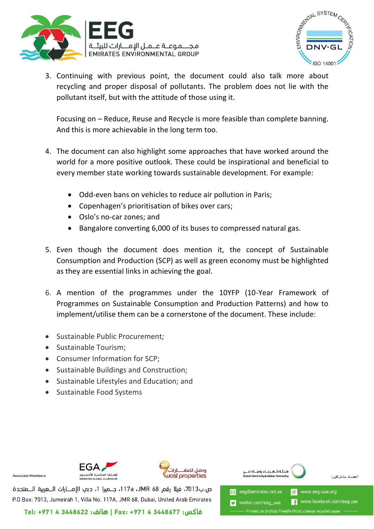



3. Continuing with previous point, the document could also talk more about recycling and proper disposal of pollutants. The problem does not lie with the pollutant itself, but with the attitude of those using it.

Focusing on – Reduce, Reuse and Recycle is more feasible than complete banning. And this is more achievable in the long term too.

- 4. The document can also highlight some approaches that have worked around the world for a more positive outlook. These could be inspirational and beneficial to every member state working towards sustainable development. For example:
	- Odd-even bans on vehicles to reduce air pollution in Paris;
	- Copenhagen's prioritisation of bikes over cars;
	- Oslo's no-car zones; and
	- Bangalore converting 6,000 of its buses to compressed natural gas.
- 5. Even though the document does mention it, the concept of Sustainable Consumption and Production (SCP) as well as green economy must be highlighted as they are essential links in achieving the goal.
- 6. A mention of the programmes under the 10YFP (10-Year Framework of Programmes on Sustainable Consumption and Production Patterns) and how to implement/utilise them can be a cornerstone of the document. These include:
- Sustainable Public Procurement*;*
- Sustainable Tourism:
- Consumer Information for SCP;
- Sustainable Buildings and Construction;
- Sustainable Lifestyles and Education; and
- Sustainable Food Systems



Associate Members



ص.ب7013، فيلا رقم JMR 68، 117a، جـميرا 1، دبي الإمــارات الــعربية الـــمتحدة P.O Box: 7013, Jumeirah 1, Villa No. 117A, JMR 68, Dubai, United Arab Emirates